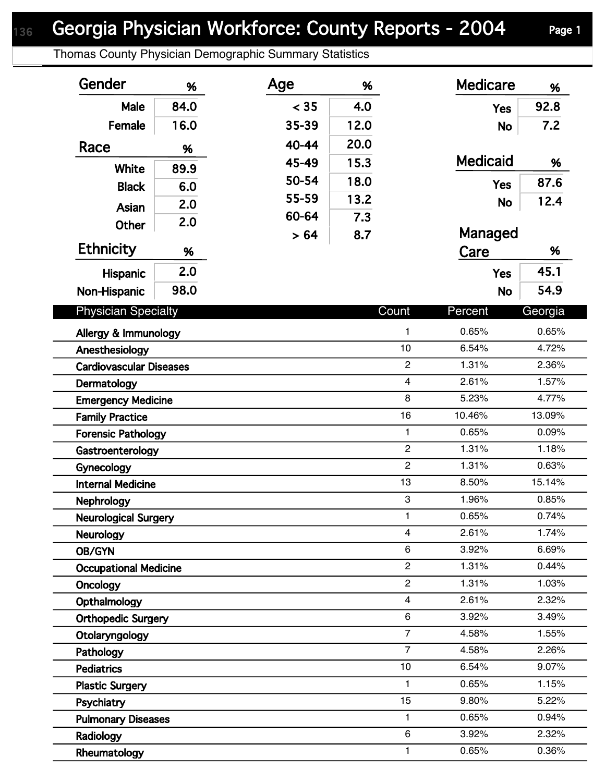## Georgia Physician Workforce: County Reports - 2004 Page 1

Thomas County Physician Demographic Summary Statistics

| Gender                         | %    | Age   | %    |                | <b>Medicare</b> | %       |  |
|--------------------------------|------|-------|------|----------------|-----------------|---------|--|
| Male                           | 84.0 | < 35  | 4.0  |                | <b>Yes</b>      | 92.8    |  |
| Female                         | 16.0 | 35-39 | 12.0 |                | <b>No</b>       | 7.2     |  |
| Race                           |      | 40-44 | 20.0 |                |                 |         |  |
|                                | %    | 45-49 | 15.3 |                | <b>Medicaid</b> | %       |  |
| <b>White</b>                   | 89.9 | 50-54 | 18.0 |                |                 | 87.6    |  |
| <b>Black</b>                   | 6.0  | 55-59 | 13.2 |                | <b>Yes</b>      |         |  |
| Asian                          | 2.0  | 60-64 |      |                | <b>No</b>       | 12.4    |  |
| <b>Other</b>                   | 2.0  |       | 7.3  |                | Managed         |         |  |
| <b>Ethnicity</b>               | %    | > 64  | 8.7  |                | Care            | %       |  |
|                                | 2.0  |       |      |                |                 | 45.1    |  |
| Hispanic                       |      |       |      |                | <b>Yes</b>      |         |  |
| Non-Hispanic                   | 98.0 |       |      |                | <b>No</b>       | 54.9    |  |
| <b>Physician Specialty</b>     |      |       |      | Count          | Percent         | Georgia |  |
| Allergy & Immunology           |      |       |      | $\mathbf{1}$   | 0.65%           | 0.65%   |  |
| Anesthesiology                 |      |       |      | 10             | 6.54%           | 4.72%   |  |
| <b>Cardiovascular Diseases</b> |      |       |      | $\overline{c}$ | 1.31%           | 2.36%   |  |
| Dermatology                    |      |       |      | $\overline{4}$ | 2.61%           | 1.57%   |  |
| <b>Emergency Medicine</b>      |      |       |      | 8              | 5.23%           | 4.77%   |  |
| <b>Family Practice</b>         |      |       |      | 16             | 10.46%          | 13.09%  |  |
| <b>Forensic Pathology</b>      |      |       |      | $\mathbf{1}$   | 0.65%           | 0.09%   |  |
| Gastroenterology               |      |       |      | $\overline{2}$ | 1.31%           | 1.18%   |  |
| Gynecology                     |      |       |      | $\overline{c}$ | 1.31%           | 0.63%   |  |
| <b>Internal Medicine</b>       |      |       |      | 13             | 8.50%           | 15.14%  |  |
| Nephrology                     |      |       |      | 3              | 1.96%           | 0.85%   |  |
| <b>Neurological Surgery</b>    |      |       |      | $\mathbf{1}$   | 0.65%           | 0.74%   |  |
| <b>Neurology</b>               |      |       |      | 4              | 2.61%           | 1.74%   |  |
| OB/GYN                         |      |       |      | 6              | 3.92%           | 6.69%   |  |
| <b>Occupational Medicine</b>   |      |       |      | $\overline{2}$ | 1.31%           | 0.44%   |  |
| Oncology                       |      |       |      | $\overline{2}$ | 1.31%           | 1.03%   |  |
| Opthalmology                   |      |       |      | $\overline{4}$ | 2.61%           | 2.32%   |  |
| <b>Orthopedic Surgery</b>      |      |       |      | 6              | 3.92%           | 3.49%   |  |
| Otolaryngology                 |      |       |      | $\overline{7}$ | 4.58%           | 1.55%   |  |
| Pathology                      |      |       |      | $\overline{7}$ | 4.58%           | 2.26%   |  |
| <b>Pediatrics</b>              |      |       |      | 10             | 6.54%           | 9.07%   |  |
| <b>Plastic Surgery</b>         |      |       |      | $\mathbf{1}$   | 0.65%           | 1.15%   |  |
| Psychiatry                     |      |       |      | 15             | 9.80%           | 5.22%   |  |
| <b>Pulmonary Diseases</b>      |      |       |      | $\mathbf{1}$   | 0.65%           | 0.94%   |  |
| Radiology                      |      |       |      | 6              | 3.92%           | 2.32%   |  |
| Rheumatology                   |      |       |      | $\mathbf{1}$   | 0.65%           | 0.36%   |  |